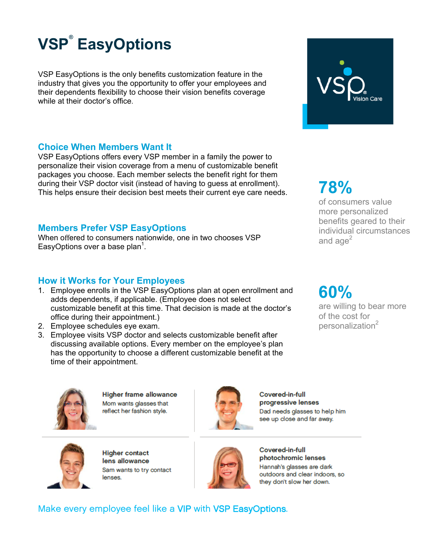

VSP EasyOptions is the only benefits customization feature in the industry that gives you the opportunity to offer your employees and their dependents flexibility to choose their vision benefits coverage while at their doctor's office.

### **Choice When Members Want It**

VSP EasyOptions offers every VSP member in a family the power to personalize their vision coverage from a menu of customizable benefit packages you choose. Each member selects the benefit right for them during their VSP doctor visit (instead of having to guess at enrollment). This helps ensure their decision best meets their current eye care needs.

### **Members Prefer VSP EasyOptions**

When offered to consumers nationwide, one in two chooses VSP EasyOptions over a base plan<sup>1</sup>.

## **How it Works for Your Employees**

- 1. Employee enrolls in the VSP EasyOptions plan at open enrollment and adds dependents, if applicable. (Employee does not select customizable benefit at this time. That decision is made at the doctor's office during their appointment.)
- 2. Employee schedules eye exam.
- 3. Employee visits VSP doctor and selects customizable benefit after discussing available options. Every member on the employee's plan has the opportunity to choose a different customizable benefit at the time of their appointment.



of consumers value more personalized benefits geared to their individual circumstances and age $2$ 

**60%** 

are willing to bear more of the cost for personalization<sup>2</sup>



**Higher frame allowance** Mom wants glasses that reflect her fashion style.



Covered-in-full progressive lenses Dad needs glasses to help him see up close and far away.



**Higher contact** lens allowance Sam wants to try contact lenses.



Covered-in-full photochromic lenses Hannah's glasses are dark outdoors and clear indoors, so they don't slow her down.

Make every employee feel like a VIP with VSP EasyOptions.